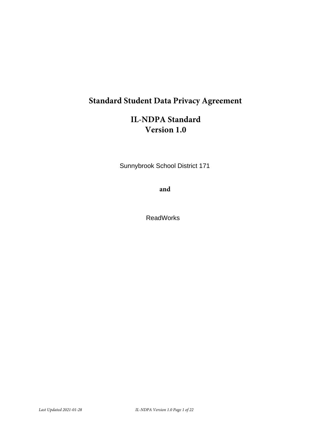# **Standard Student Data Privacy Agreement**

# **IL-NDPA** Standard Version 1.0

Sunnybrook School District 171

and

**ReadWorks**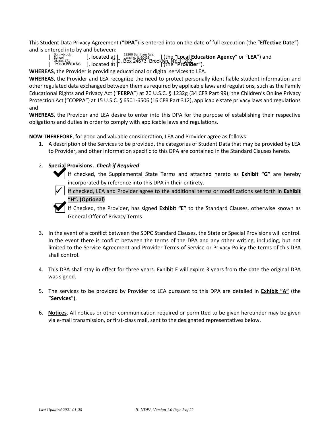This Student Data Privacy Agreement ("DPA") is entered into on the date of full execution (the "Effective Date") and is entered into by and between:

19266 Burnham Ave. Sunnybrook<br>
School<br>
District 171  $\begin{bmatrix} \text{Sunybrack} \\ \text{Stool} \\ \text{Distrot} \\ \text{Dscript 17} \\ \text{Dscript 18} \\ \text{Dscript 20} \\ \text{Dscript 3} \\ \text{Dscript 4} \\ \text{Dscript 5} \\ \text{Dscript 6} \\ \text{Dscript 7} \\ \text{Dright 3} \\ \text{Dright 4} \\ \text{Dright 5} \\ \text{Dright4} \\ \text{Dright5} \\ \text{Dright6} \\ \text{Dright6} \\ \text{Dright6} \\ \text{Dright7} \\ \text{Dright8} \\ \text{Dright8} \\ \text{Dright9} \\ \text{Dright9} \\ \text{Dright9} \\ \$ ] (the "Local Education Agency" or "LEA") and

**WHEREAS**, the Provider is providing educational or digital services to LEA.

WHEREAS, the Provider and LEA recognize the need to protect personally identifiable student information and other regulated data exchanged between them as required by applicable laws and regulations, such as the Family Educational Rights and Privacy Act ("FERPA") at 20 U.S.C. § 1232g (34 CFR Part 99); the Children's Online Privacy Protection Act ("COPPA") at 15 U.S.C. § 6501-6506 (16 CFR Part 312), applicable state privacy laws and regulations and

**WHEREAS**, the Provider and LEA desire to enter into this DPA for the purpose of establishing their respective obligations and duties in order to comply with applicable laws and regulations.

NOW THEREFORE, for good and valuable consideration, LEA and Provider agree as follows:

1. A description of the Services to be provided, the categories of Student Data that may be provided by LEA to Provider, and other information specific to this DPA are contained in the Standard Clauses hereto.

### 2. Special Provisions. Check if Required

If checked, the Supplemental State Terms and attached hereto as **Exhibit "G"** are hereby incorporated by reference into this DPA in their entirety.

If checked, LEA and Provider agree to the additional terms or modifications set forth in Exhibit 'H". (Optional)

If Checked, the Provider, has signed Exhibit "E" to the Standard Clauses, otherwise known as **General Offer of Privacy Terms** 

- 3. In the event of a conflict between the SDPC Standard Clauses, the State or Special Provisions will control. In the event there is conflict between the terms of the DPA and any other writing, including, but not limited to the Service Agreement and Provider Terms of Service or Privacy Policy the terms of this DPA shall control.
- 4. This DPA shall stay in effect for three years. Exhibit E will expire 3 years from the date the original DPA was signed.
- 5. The services to be provided by Provider to LEA pursuant to this DPA are detailed in Exhibit "A" (the "Services").
- 6. Notices. All notices or other communication required or permitted to be given hereunder may be given via e-mail transmission, or first-class mail, sent to the designated representatives below.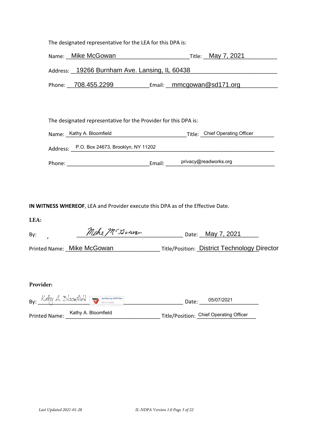| Name: Mike McGowan                                              | Title: May 7, 2021        |  |  |
|-----------------------------------------------------------------|---------------------------|--|--|
| Address: 19266 Burnham Ave. Lansing, IL 60438                   |                           |  |  |
| Phone: 708.455.2299                                             | Email: mmcgowan@sd171.org |  |  |
|                                                                 |                           |  |  |
| The designated representative for the Provider for this DPA is: |                           |  |  |

| Name: Kathy A. Bloomfield                   | Title: Chief Operating Officer |
|---------------------------------------------|--------------------------------|
| Address: P.O. Box 24673, Brooklyn, NY 11202 |                                |
| Email:<br>Phone:                            | privacy@readworks.org          |

IN WITNESS WHEREOF, LEA and Provider execute this DPA as of the Effective Date.

The designated representative for the LEA for this DPA is:

| LEA: |                            |                                                     |
|------|----------------------------|-----------------------------------------------------|
| By:  | Mike M Dowan               | Date: May 7, 2021                                   |
|      | Printed Name: Mike McGowan | <b>Title/Position: District Technology Director</b> |

### Provider:

|                      | $Bv:$ Kathy A. Bloom Aield $\sum_{s \in (07/2021)}$ | 05/07/2021<br>Date:                     |
|----------------------|-----------------------------------------------------|-----------------------------------------|
| <b>Printed Name:</b> | Kathy A. Bloomfield                                 | Title/Position: Chief Operating Officer |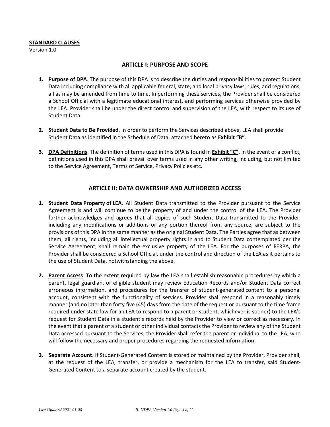### **STANDARD CLAUSES**

Version 1.0

### **ARTICLE I: PURPOSE AND SCOPE**

- 1. Purpose of DPA. The purpose of this DPA is to describe the duties and responsibilities to protect Student Data including compliance with all applicable federal, state, and local privacy laws, rules, and regulations, all as may be amended from time to time. In performing these services, the Provider shall be considered a School Official with a legitimate educational interest, and performing services otherwise provided by the LEA. Provider shall be under the direct control and supervision of the LEA, with respect to its use of **Student Data**
- 2. Student Data to Be Provided. In order to perform the Services described above, LEA shall provide Student Data as identified in the Schedule of Data, attached hereto as Exhibit "B".
- 3. DPA Definitions. The definition of terms used in this DPA is found in Exhibit "C". In the event of a conflict, definitions used in this DPA shall prevail over terms used in any other writing, including, but not limited to the Service Agreement, Terms of Service, Privacy Policies etc.

### **ARTICLE II: DATA OWNERSHIP AND AUTHORIZED ACCESS**

- 1. Student Data Property of LEA. All Student Data transmitted to the Provider pursuant to the Service Agreement is and will continue to be the property of and under the control of the LEA. The Provider further acknowledges and agrees that all copies of such Student Data transmitted to the Provider, including any modifications or additions or any portion thereof from any source, are subject to the provisions of this DPA in the same manner as the original Student Data. The Parties agree that as between them, all rights, including all intellectual property rights in and to Student Data contemplated per the Service Agreement, shall remain the exclusive property of the LEA. For the purposes of FERPA, the Provider shall be considered a School Official, under the control and direction of the LEA as it pertains to the use of Student Data, notwithstanding the above.
- 2. Parent Access. To the extent required by law the LEA shall establish reasonable procedures by which a parent, legal guardian, or eligible student may review Education Records and/or Student Data correct erroneous information, and procedures for the transfer of student-generated content to a personal account, consistent with the functionality of services. Provider shall respond in a reasonably timely manner (and no later than forty five (45) days from the date of the request or pursuant to the time frame required under state law for an LEA to respond to a parent or student, whichever is sooner) to the LEA's request for Student Data in a student's records held by the Provider to view or correct as necessary. In the event that a parent of a student or other individual contacts the Provider to review any of the Student Data accessed pursuant to the Services, the Provider shall refer the parent or individual to the LEA, who will follow the necessary and proper procedures regarding the requested information.
- 3. Separate Account. If Student-Generated Content is stored or maintained by the Provider, Provider shall, at the request of the LEA, transfer, or provide a mechanism for the LEA to transfer, said Student-Generated Content to a separate account created by the student.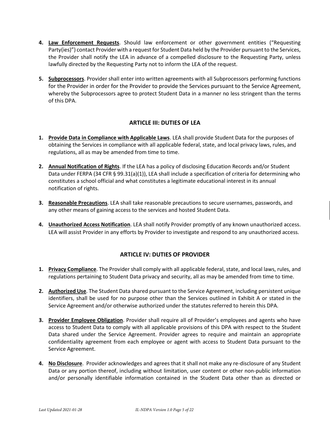- 4. Law Enforcement Requests. Should law enforcement or other government entities ("Requesting Party(ies)") contact Provider with a request for Student Data held by the Provider pursuant to the Services, the Provider shall notify the LEA in advance of a compelled disclosure to the Requesting Party, unless lawfully directed by the Requesting Party not to inform the LEA of the request.
- 5. Subprocessors. Provider shall enter into written agreements with all Subprocessors performing functions for the Provider in order for the Provider to provide the Services pursuant to the Service Agreement, whereby the Subprocessors agree to protect Student Data in a manner no less stringent than the terms of this DPA.

## **ARTICLE III: DUTIES OF LEA**

- 1. Provide Data in Compliance with Applicable Laws. LEA shall provide Student Data for the purposes of obtaining the Services in compliance with all applicable federal, state, and local privacy laws, rules, and regulations, all as may be amended from time to time.
- 2. Annual Notification of Rights. If the LEA has a policy of disclosing Education Records and/or Student Data under FERPA (34 CFR § 99.31(a)(1)), LEA shall include a specification of criteria for determining who constitutes a school official and what constitutes a legitimate educational interest in its annual notification of rights.
- 3. Reasonable Precautions. LEA shall take reasonable precautions to secure usernames, passwords, and any other means of gaining access to the services and hosted Student Data.
- 4. Unauthorized Access Notification. LEA shall notify Provider promptly of any known unauthorized access. LEA will assist Provider in any efforts by Provider to investigate and respond to any unauthorized access.

### **ARTICLE IV: DUTIES OF PROVIDER**

- 1. Privacy Compliance. The Provider shall comply with all applicable federal, state, and local laws, rules, and regulations pertaining to Student Data privacy and security, all as may be amended from time to time.
- 2. Authorized Use. The Student Data shared pursuant to the Service Agreement, including persistent unique identifiers, shall be used for no purpose other than the Services outlined in Exhibit A or stated in the Service Agreement and/or otherwise authorized under the statutes referred to herein this DPA.
- 3. Provider Employee Obligation. Provider shall require all of Provider's employees and agents who have access to Student Data to comply with all applicable provisions of this DPA with respect to the Student Data shared under the Service Agreement. Provider agrees to require and maintain an appropriate confidentiality agreement from each employee or agent with access to Student Data pursuant to the Service Agreement.
- 4. No Disclosure. Provider acknowledges and agrees that it shall not make any re-disclosure of any Student Data or any portion thereof, including without limitation, user content or other non-public information and/or personally identifiable information contained in the Student Data other than as directed or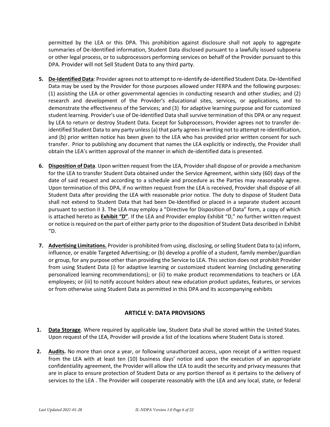permitted by the LEA or this DPA. This prohibition against disclosure shall not apply to aggregate summaries of De-Identified information, Student Data disclosed pursuant to a lawfully issued subpoena or other legal process, or to subprocessors performing services on behalf of the Provider pursuant to this DPA. Provider will not Sell Student Data to any third party.

- 5. De-Identified Data: Provider agrees not to attempt to re-identify de-identified Student Data. De-Identified Data may be used by the Provider for those purposes allowed under FERPA and the following purposes: (1) assisting the LEA or other governmental agencies in conducting research and other studies; and (2) research and development of the Provider's educational sites, services, or applications, and to demonstrate the effectiveness of the Services; and (3) for adaptive learning purpose and for customized student learning. Provider's use of De-Identified Data shall survive termination of this DPA or any request by LEA to return or destroy Student Data. Except for Subprocessors, Provider agrees not to transfer deidentified Student Data to any party unless (a) that party agrees in writing not to attempt re-identification, and (b) prior written notice has been given to the LEA who has provided prior written consent for such transfer. Prior to publishing any document that names the LEA explicitly or indirectly, the Provider shall obtain the LEA's written approval of the manner in which de-identified data is presented.
- 6. Disposition of Data. Upon written request from the LEA, Provider shall dispose of or provide a mechanism for the LEA to transfer Student Data obtained under the Service Agreement, within sixty (60) days of the date of said request and according to a schedule and procedure as the Parties may reasonably agree. Upon termination of this DPA, if no written request from the LEA is received, Provider shall dispose of all Student Data after providing the LEA with reasonable prior notice. The duty to dispose of Student Data shall not extend to Student Data that had been De-Identified or placed in a separate student account pursuant to section II 3. The LEA may employ a "Directive for Disposition of Data" form, a copy of which is attached hereto as **Exhibit "D"**. If the LEA and Provider employ Exhibit "D," no further written request or notice is required on the part of either party prior to the disposition of Student Data described in Exhibit  $^{\prime\prime}$ D.
- 7. Advertising Limitations. Provider is prohibited from using, disclosing, or selling Student Data to (a) inform, influence, or enable Targeted Advertising; or (b) develop a profile of a student, family member/guardian or group, for any purpose other than providing the Service to LEA. This section does not prohibit Provider from using Student Data (i) for adaptive learning or customized student learning (including generating personalized learning recommendations); or (ii) to make product recommendations to teachers or LEA employees; or (iii) to notify account holders about new education product updates, features, or services or from otherwise using Student Data as permitted in this DPA and its accompanying exhibits

# **ARTICLE V: DATA PROVISIONS**

- 1. Data Storage. Where required by applicable law, Student Data shall be stored within the United States. Upon request of the LEA, Provider will provide a list of the locations where Student Data is stored.
- 2. Audits. No more than once a year, or following unauthorized access, upon receipt of a written request from the LEA with at least ten (10) business days' notice and upon the execution of an appropriate confidentiality agreement, the Provider will allow the LEA to audit the security and privacy measures that are in place to ensure protection of Student Data or any portion thereof as it pertains to the delivery of services to the LEA. The Provider will cooperate reasonably with the LEA and any local, state, or federal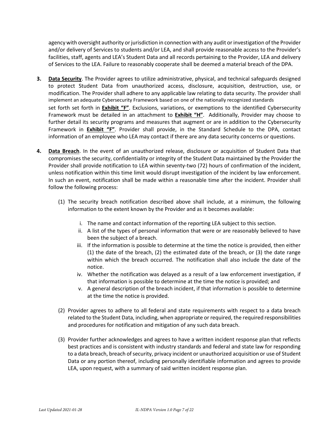agency with oversight authority or jurisdiction in connection with any audit or investigation of the Provider and/or delivery of Services to students and/or LEA, and shall provide reasonable access to the Provider's facilities, staff, agents and LEA's Student Data and all records pertaining to the Provider, LEA and delivery of Services to the LEA. Failure to reasonably cooperate shall be deemed a material breach of the DPA.

- 3. Data Security. The Provider agrees to utilize administrative, physical, and technical safeguards designed to protect Student Data from unauthorized access, disclosure, acquisition, destruction, use, or modification. The Provider shall adhere to any applicable law relating to data security. The provider shall implement an adequate Cybersecurity Framework based on one of the nationally recognized standards set forth set forth in *Exhibit "F"*. Exclusions, variations, or exemptions to the identified Cybersecurity Framework must be detailed in an attachment to Exhibit "H". Additionally, Provider may choose to further detail its security programs and measures that augment or are in addition to the Cybersecurity Framework in **Exhibit "F"**. Provider shall provide, in the Standard Schedule to the DPA, contact information of an employee who LEA may contact if there are any data security concerns or questions.
- 4. Data Breach. In the event of an unauthorized release, disclosure or acquisition of Student Data that compromises the security, confidentiality or integrity of the Student Data maintained by the Provider the Provider shall provide notification to LEA within seventy-two (72) hours of confirmation of the incident, unless notification within this time limit would disrupt investigation of the incident by law enforcement. In such an event, notification shall be made within a reasonable time after the incident. Provider shall follow the following process:
	- (1) The security breach notification described above shall include, at a minimum, the following information to the extent known by the Provider and as it becomes available:
		- i. The name and contact information of the reporting LEA subject to this section.
		- ii. A list of the types of personal information that were or are reasonably believed to have been the subject of a breach.
		- iii. If the information is possible to determine at the time the notice is provided, then either  $(1)$  the date of the breach,  $(2)$  the estimated date of the breach, or  $(3)$  the date range within which the breach occurred. The notification shall also include the date of the notice.
		- iv. Whether the notification was delayed as a result of a law enforcement investigation, if that information is possible to determine at the time the notice is provided; and
		- v. A general description of the breach incident, if that information is possible to determine at the time the notice is provided.
	- (2) Provider agrees to adhere to all federal and state requirements with respect to a data breach related to the Student Data, including, when appropriate or required, the required responsibilities and procedures for notification and mitigation of any such data breach.
	- (3) Provider further acknowledges and agrees to have a written incident response plan that reflects best practices and is consistent with industry standards and federal and state law for responding to a data breach, breach of security, privacy incident or unauthorized acquisition or use of Student Data or any portion thereof, including personally identifiable information and agrees to provide LEA, upon request, with a summary of said written incident response plan.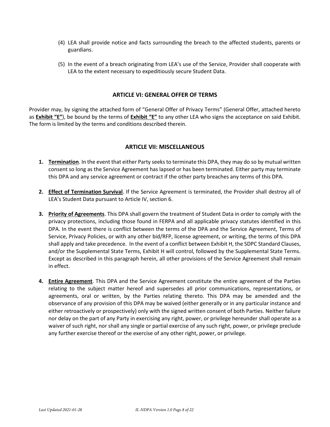- (4) LEA shall provide notice and facts surrounding the breach to the affected students, parents or guardians.
- (5) In the event of a breach originating from LEA's use of the Service, Provider shall cooperate with LEA to the extent necessary to expeditiously secure Student Data.

### **ARTICLE VI: GENERAL OFFER OF TERMS**

Provider may, by signing the attached form of "General Offer of Privacy Terms" (General Offer, attached hereto as **Exhibit "E"**), be bound by the terms of **Exhibit "E"** to any other LEA who signs the acceptance on said Exhibit. The form is limited by the terms and conditions described therein.

### **ARTICLE VII: MISCELLANEOUS**

- 1. Termination. In the event that either Party seeks to terminate this DPA, they may do so by mutual written consent so long as the Service Agreement has lapsed or has been terminated. Either party may terminate this DPA and any service agreement or contract if the other party breaches any terms of this DPA.
- 2. Effect of Termination Survival. If the Service Agreement is terminated, the Provider shall destroy all of LEA's Student Data pursuant to Article IV, section 6.
- 3. Priority of Agreements. This DPA shall govern the treatment of Student Data in order to comply with the privacy protections, including those found in FERPA and all applicable privacy statutes identified in this DPA. In the event there is conflict between the terms of the DPA and the Service Agreement, Terms of Service, Privacy Policies, or with any other bid/RFP, license agreement, or writing, the terms of this DPA shall apply and take precedence. In the event of a conflict between Exhibit H, the SDPC Standard Clauses, and/or the Supplemental State Terms, Exhibit H will control, followed by the Supplemental State Terms. Except as described in this paragraph herein, all other provisions of the Service Agreement shall remain in effect.
- 4. Entire Agreement. This DPA and the Service Agreement constitute the entire agreement of the Parties relating to the subject matter hereof and supersedes all prior communications, representations, or agreements, oral or written, by the Parties relating thereto. This DPA may be amended and the observance of any provision of this DPA may be waived (either generally or in any particular instance and either retroactively or prospectively) only with the signed written consent of both Parties. Neither failure nor delay on the part of any Party in exercising any right, power, or privilege hereunder shall operate as a waiver of such right, nor shall any single or partial exercise of any such right, power, or privilege preclude any further exercise thereof or the exercise of any other right, power, or privilege.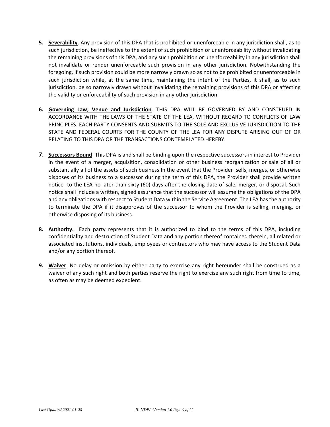- 5. Severability. Any provision of this DPA that is prohibited or unenforceable in any jurisdiction shall, as to such jurisdiction, be ineffective to the extent of such prohibition or unenforceability without invalidating the remaining provisions of this DPA, and any such prohibition or unenforceability in any jurisdiction shall not invalidate or render unenforceable such provision in any other jurisdiction. Notwithstanding the foregoing, if such provision could be more narrowly drawn so as not to be prohibited or unenforceable in such jurisdiction while, at the same time, maintaining the intent of the Parties, it shall, as to such jurisdiction, be so narrowly drawn without invalidating the remaining provisions of this DPA or affecting the validity or enforceability of such provision in any other jurisdiction.
- 6. Governing Law; Venue and Jurisdiction. THIS DPA WILL BE GOVERNED BY AND CONSTRUED IN ACCORDANCE WITH THE LAWS OF THE STATE OF THE LEA, WITHOUT REGARD TO CONFLICTS OF LAW PRINCIPLES. EACH PARTY CONSENTS AND SUBMITS TO THE SOLE AND EXCLUSIVE JURISDICTION TO THE STATE AND FEDERAL COURTS FOR THE COUNTY OF THE LEA FOR ANY DISPUTE ARISING OUT OF OR RELATING TO THIS DPA OR THE TRANSACTIONS CONTEMPLATED HEREBY.
- 7. Successors Bound: This DPA is and shall be binding upon the respective successors in interest to Provider in the event of a merger, acquisition, consolidation or other business reorganization or sale of all or substantially all of the assets of such business In the event that the Provider sells, merges, or otherwise disposes of its business to a successor during the term of this DPA, the Provider shall provide written notice to the LEA no later than sixty (60) days after the closing date of sale, merger, or disposal. Such notice shall include a written, signed assurance that the successor will assume the obligations of the DPA and any obligations with respect to Student Data within the Service Agreement. The LEA has the authority to terminate the DPA if it disapproves of the successor to whom the Provider is selling, merging, or otherwise disposing of its business.
- 8. Authority. Each party represents that it is authorized to bind to the terms of this DPA, including confidentiality and destruction of Student Data and any portion thereof contained therein, all related or associated institutions, individuals, employees or contractors who may have access to the Student Data and/or any portion thereof.
- 9. Waiver. No delay or omission by either party to exercise any right hereunder shall be construed as a waiver of any such right and both parties reserve the right to exercise any such right from time to time, as often as may be deemed expedient.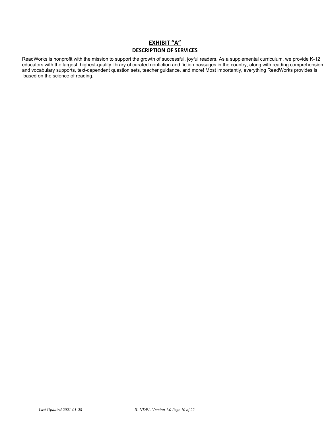### **EXHIBIT "A" DESCRIPTION OF SERVICES**

ReadWorks is nonprofit with the mission to support the growth of successful, joyful readers. As a supplemental curriculum, we provide K-12 educators with the largest, highest-quality library of curated nonfiction and fiction passages in the country, along with reading comprehension and vocabulary supports, text-dependent question sets, teacher guidance, and more! Most importantly, everything ReadWorks provides is based on the science of reading.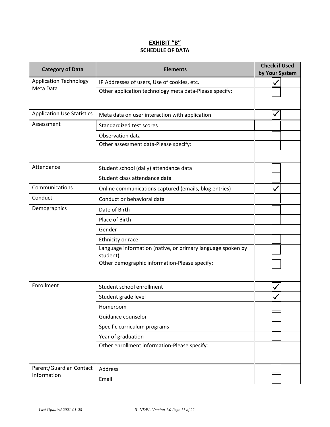# EXHIBIT "B"<br>SCHEDULE OF DATA

| <b>Category of Data</b>           | <b>Elements</b>                                                         |  | <b>Check if Used</b><br>by Your System |
|-----------------------------------|-------------------------------------------------------------------------|--|----------------------------------------|
| <b>Application Technology</b>     | IP Addresses of users, Use of cookies, etc.                             |  |                                        |
| Meta Data                         | Other application technology meta data-Please specify:                  |  |                                        |
| <b>Application Use Statistics</b> | Meta data on user interaction with application                          |  |                                        |
| Assessment                        | Standardized test scores                                                |  |                                        |
|                                   | Observation data                                                        |  |                                        |
|                                   | Other assessment data-Please specify:                                   |  |                                        |
| Attendance                        | Student school (daily) attendance data                                  |  |                                        |
|                                   | Student class attendance data                                           |  |                                        |
| Communications                    | Online communications captured (emails, blog entries)                   |  |                                        |
| Conduct                           | Conduct or behavioral data                                              |  |                                        |
| Demographics                      | Date of Birth                                                           |  |                                        |
|                                   | Place of Birth                                                          |  |                                        |
|                                   | Gender                                                                  |  |                                        |
|                                   | Ethnicity or race                                                       |  |                                        |
|                                   | Language information (native, or primary language spoken by<br>student) |  |                                        |
|                                   | Other demographic information-Please specify:                           |  |                                        |
| Enrollment                        | Student school enrollment                                               |  |                                        |
|                                   | Student grade level                                                     |  |                                        |
|                                   | Homeroom                                                                |  |                                        |
|                                   | Guidance counselor                                                      |  |                                        |
|                                   | Specific curriculum programs                                            |  |                                        |
|                                   | Year of graduation                                                      |  |                                        |
|                                   | Other enrollment information-Please specify:                            |  |                                        |
| Parent/Guardian Contact           | Address                                                                 |  |                                        |
| Information                       | Email                                                                   |  |                                        |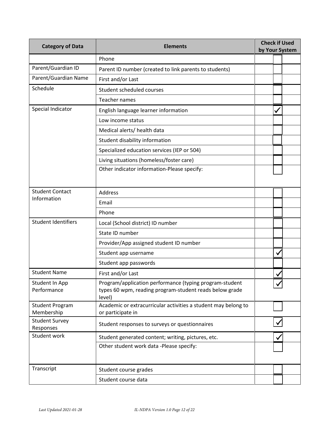| <b>Category of Data</b>                                                                                                     | <b>Elements</b>                                                                                                              |  | <b>Check if Used</b><br>by Your System |  |
|-----------------------------------------------------------------------------------------------------------------------------|------------------------------------------------------------------------------------------------------------------------------|--|----------------------------------------|--|
|                                                                                                                             | Phone                                                                                                                        |  |                                        |  |
| Parent/Guardian ID                                                                                                          | Parent ID number (created to link parents to students)                                                                       |  |                                        |  |
| Parent/Guardian Name                                                                                                        | First and/or Last                                                                                                            |  |                                        |  |
| Schedule                                                                                                                    | Student scheduled courses                                                                                                    |  |                                        |  |
|                                                                                                                             | <b>Teacher names</b>                                                                                                         |  |                                        |  |
| Special Indicator                                                                                                           | English language learner information                                                                                         |  | ✓                                      |  |
|                                                                                                                             | Low income status                                                                                                            |  |                                        |  |
|                                                                                                                             | Medical alerts/ health data                                                                                                  |  |                                        |  |
|                                                                                                                             | Student disability information                                                                                               |  |                                        |  |
|                                                                                                                             | Specialized education services (IEP or 504)                                                                                  |  |                                        |  |
|                                                                                                                             | Living situations (homeless/foster care)                                                                                     |  |                                        |  |
|                                                                                                                             | Other indicator information-Please specify:                                                                                  |  |                                        |  |
|                                                                                                                             |                                                                                                                              |  |                                        |  |
| <b>Student Contact</b>                                                                                                      | Address                                                                                                                      |  |                                        |  |
| Information                                                                                                                 | Email                                                                                                                        |  |                                        |  |
|                                                                                                                             | Phone                                                                                                                        |  |                                        |  |
| <b>Student Identifiers</b><br>Local (School district) ID number                                                             |                                                                                                                              |  |                                        |  |
|                                                                                                                             | State ID number                                                                                                              |  |                                        |  |
|                                                                                                                             | Provider/App assigned student ID number                                                                                      |  |                                        |  |
|                                                                                                                             | Student app username                                                                                                         |  | V                                      |  |
|                                                                                                                             | Student app passwords                                                                                                        |  |                                        |  |
| <b>Student Name</b>                                                                                                         | First and/or Last                                                                                                            |  |                                        |  |
| Student In App<br>Performance                                                                                               | Program/application performance (typing program-student<br>types 60 wpm, reading program-student reads below grade<br>level) |  |                                        |  |
| Academic or extracurricular activities a student may belong to<br><b>Student Program</b><br>Membership<br>or participate in |                                                                                                                              |  |                                        |  |
| <b>Student Survey</b><br>Responses                                                                                          | Student responses to surveys or questionnaires                                                                               |  |                                        |  |
| Student work<br>Student generated content; writing, pictures, etc.                                                          |                                                                                                                              |  |                                        |  |
|                                                                                                                             | Other student work data -Please specify:                                                                                     |  |                                        |  |
|                                                                                                                             |                                                                                                                              |  |                                        |  |
| Transcript                                                                                                                  | Student course grades                                                                                                        |  |                                        |  |
|                                                                                                                             | Student course data                                                                                                          |  |                                        |  |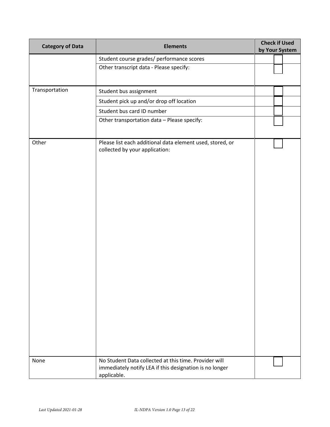| <b>Category of Data</b> | <b>Elements</b>                                                                                                                 | <b>Check if Used</b><br>by Your System |  |  |
|-------------------------|---------------------------------------------------------------------------------------------------------------------------------|----------------------------------------|--|--|
|                         | Student course grades/ performance scores                                                                                       |                                        |  |  |
|                         | Other transcript data - Please specify:                                                                                         |                                        |  |  |
|                         |                                                                                                                                 |                                        |  |  |
| Transportation          | Student bus assignment                                                                                                          |                                        |  |  |
|                         | Student pick up and/or drop off location                                                                                        |                                        |  |  |
|                         | Student bus card ID number                                                                                                      |                                        |  |  |
|                         | Other transportation data - Please specify:                                                                                     |                                        |  |  |
| Other                   | Please list each additional data element used, stored, or<br>collected by your application:                                     |                                        |  |  |
| None                    | No Student Data collected at this time. Provider will<br>immediately notify LEA if this designation is no longer<br>applicable. |                                        |  |  |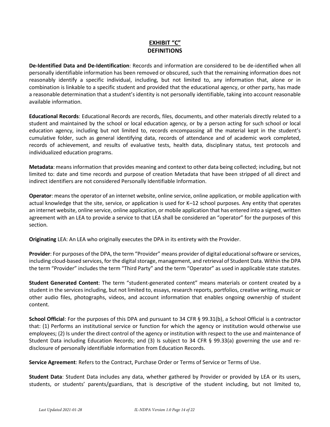# EXHIBIT "C"

De-Identified Data and De-Identification: Records and information are considered to be de-identified when all personally identifiable information has been removed or obscured, such that the remaining information does not reasonably identify a specific individual, including, but not limited to, any information that, alone or in combination is linkable to a specific student and provided that the educational agency, or other party, has made a reasonable determination that a student's identity is not personally identifiable, taking into account reasonable available information.

**Educational Records:** Educational Records are records, files, documents, and other materials directly related to a student and maintained by the school or local education agency, or by a person acting for such school or local education agency, including but not limited to, records encompassing all the material kept in the student's cumulative folder, such as general identifying data, records of attendance and of academic work completed, records of achievement, and results of evaluative tests, health data, disciplinary status, test protocols and individualized education programs.

Metadata: means information that provides meaning and context to other data being collected; including, but not limited to: date and time records and purpose of creation Metadata that have been stripped of all direct and indirect identifiers are not considered Personally Identifiable Information.

Operator: means the operator of an internet website, online service, online application, or mobile application with actual knowledge that the site, service, or application is used for K-12 school purposes. Any entity that operates an internet website, online service, online application, or mobile application that has entered into a signed, written agreement with an LEA to provide a service to that LEA shall be considered an "operator" for the purposes of this section.

Originating LEA: An LEA who originally executes the DPA in its entirety with the Provider.

Provider: For purposes of the DPA, the term "Provider" means provider of digital educational software or services, including cloud-based services, for the digital storage, management, and retrieval of Student Data. Within the DPA the term "Provider" includes the term "Third Party" and the term "Operator" as used in applicable state statutes.

**Student Generated Content:** The term "student-generated content" means materials or content created by a student in the services including, but not limited to, essays, research reports, portfolios, creative writing, music or other audio files, photographs, videos, and account information that enables ongoing ownership of student content.

School Official: For the purposes of this DPA and pursuant to 34 CFR § 99.31(b), a School Official is a contractor that: (1) Performs an institutional service or function for which the agency or institution would otherwise use employees; (2) Is under the direct control of the agency or institution with respect to the use and maintenance of Student Data including Education Records; and (3) Is subject to 34 CFR § 99.33(a) governing the use and redisclosure of personally identifiable information from Education Records.

Service Agreement: Refers to the Contract, Purchase Order or Terms of Service or Terms of Use.

Student Data: Student Data includes any data, whether gathered by Provider or provided by LEA or its users, students, or students' parents/guardians, that is descriptive of the student including, but not limited to,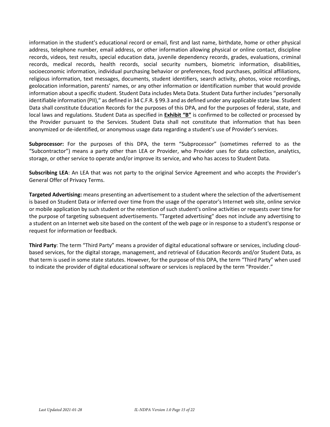information in the student's educational record or email, first and last name, birthdate, home or other physical address, telephone number, email address, or other information allowing physical or online contact, discipline records, videos, test results, special education data, juvenile dependency records, grades, evaluations, criminal records, medical records, health records, social security numbers, biometric information, disabilities, socioeconomic information, individual purchasing behavior or preferences, food purchases, political affiliations, religious information, text messages, documents, student identifiers, search activity, photos, voice recordings, geolocation information, parents' names, or any other information or identification number that would provide information about a specific student. Student Data includes Meta Data. Student Data further includes "personally identifiable information (PII)," as defined in 34 C.F.R. § 99.3 and as defined under any applicable state law. Student Data shall constitute Education Records for the purposes of this DPA, and for the purposes of federal, state, and local laws and regulations. Student Data as specified in Exhibit "B" is confirmed to be collected or processed by the Provider pursuant to the Services. Student Data shall not constitute that information that has been anonymized or de-identified, or anonymous usage data regarding a student's use of Provider's services.

Subprocessor: For the purposes of this DPA, the term "Subprocessor" (sometimes referred to as the "Subcontractor") means a party other than LEA or Provider, who Provider uses for data collection, analytics, storage, or other service to operate and/or improve its service, and who has access to Student Data.

Subscribing LEA: An LEA that was not party to the original Service Agreement and who accepts the Provider's General Offer of Privacy Terms.

Targeted Advertising: means presenting an advertisement to a student where the selection of the advertisement is based on Student Data or inferred over time from the usage of the operator's Internet web site, online service or mobile application by such student or the retention of such student's online activities or requests over time for the purpose of targeting subsequent advertisements. "Targeted advertising" does not include any advertising to a student on an Internet web site based on the content of the web page or in response to a student's response or request for information or feedback.

Third Party: The term "Third Party" means a provider of digital educational software or services, including cloudbased services, for the digital storage, management, and retrieval of Education Records and/or Student Data, as that term is used in some state statutes. However, for the purpose of this DPA, the term "Third Party" when used to indicate the provider of digital educational software or services is replaced by the term "Provider."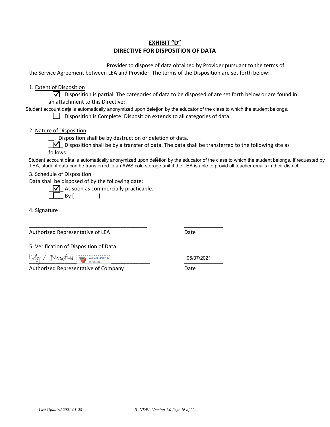# **EXHIBIT "D"** DIRECTIVE FOR DISPOSITION OF DATA

Provider to dispose of data obtained by Provider pursuant to the terms of the Service Agreement between LEA and Provider. The terms of the Disposition are set forth below:

1. Extent of Disposition

 $\sqrt{\phantom{a}}$  Disposition is partial. The categories of data to be disposed of are set forth below or are found in an attachment to this Directive:

Student account data is automatically anonymized upon delettion by the educator of the class to which the student belongs.

 $\Box$  Disposition is Complete. Disposition extends to all categories of data.

2. Nature of Disposition

Disposition shall be by destruction or deletion of data.

 $\Box$  Disposition shall be by a transfer of data. The data shall be transferred to the following site as follows:

Student account data is automatically anonymized upon deletion by the educator of the class to which the student belongs. If requested by LEA, student data can be transferred to an AWS cold storage unit if the LEA is able to provid all teacher emails in their district.

#### 3. Schedule of Disposition

Data shall be disposed of by the following date:

 $\sqrt{\phantom{a}}$  As soon as commercially practicable.  $\mathbf{1}$ 

 $\Box$  By [

4. Signature

Authorized Representative of LEA

Date

5. Verification of Disposition of Data

Kathy A. BloomAield

Authorized Representative of Company

05/07/2021

Date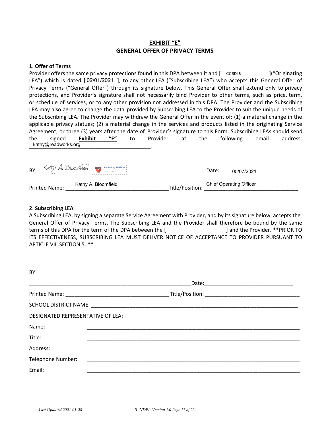# **EXHIBIT "E" GENERAL OFFER OF PRIVACY TERMS**

### 1. Offer of Terms

Provider offers the same privacy protections found in this DPA between it and [ CCSD181 ]("Originating LEA") which is dated [02/01/2021], to any other LEA ("Subscribing LEA") who accepts this General Offer of Privacy Terms ("General Offer") through its signature below. This General Offer shall extend only to privacy protections, and Provider's signature shall not necessarily bind Provider to other terms, such as price, term, or schedule of services, or to any other provision not addressed in this DPA. The Provider and the Subscribing LEA may also agree to change the data provided by Subscribing LEA to the Provider to suit the unique needs of the Subscribing LEA. The Provider may withdraw the General Offer in the event of: (1) a material change in the applicable privacy statues; (2) a material change in the services and products listed in the originating Service Agreement; or three (3) years after the date of Provider's signature to this Form. Subscribing LEAs should send  $^{\prime\prime}$ E" the signed Exhibit  $t_{\Omega}$ Provider **at** the following email address: kathy@readworks.org

|                      | $\mathsf{BY:}$ Kathy A. Bloom field $\sum_{\text{osyary 2021}}$ | Date:           | 05/07/2021                     |  |
|----------------------|-----------------------------------------------------------------|-----------------|--------------------------------|--|
| <b>Printed Name:</b> | Kathy A. Bloomfield                                             | Title/Position: | <b>Chief Operating Officer</b> |  |

### 2. Subscribing LEA

DV.

A Subscribing LEA, by signing a separate Service Agreement with Provider, and by its signature below, accepts the General Offer of Privacy Terms. The Subscribing LEA and the Provider shall therefore be bound by the same terms of this DPA for the term of the DPA between the [ ] and the Provider. \*\* PRIOR TO ITS EFFECTIVENESS, SUBSCRIBING LEA MUST DELIVER NOTICE OF ACCEPTANCE TO PROVIDER PURSUANT TO ARTICLE VII, SECTION 5. \*\*

| DI.                               |  |  |  |
|-----------------------------------|--|--|--|
|                                   |  |  |  |
|                                   |  |  |  |
|                                   |  |  |  |
| DESIGNATED REPRESENTATIVE OF LEA: |  |  |  |
| Name:                             |  |  |  |
| Title:                            |  |  |  |
| Address:                          |  |  |  |
| Telephone Number:                 |  |  |  |
| Email:                            |  |  |  |
|                                   |  |  |  |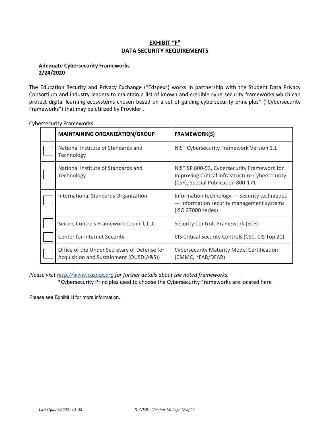# **EXHIBIT "F" DATA SECURITY REQUIREMENTS**

### **Adequate Cybersecurity Frameworks** 2/24/2020

The Education Security and Privacy Exchange ("Edspex") works in partnership with the Student Data Privacy Consortium and industry leaders to maintain a list of known and credible cybersecurity frameworks which can protect digital learning ecosystems chosen based on a set of guiding cybersecurity principles\* ("Cybersecurity Frameworks") that may be utilized by Provider.

| <b>MAINTAINING ORGANIZATION/GROUP</b>                                                   | <b>FRAMEWORK(S)</b>                                                                                                                  |
|-----------------------------------------------------------------------------------------|--------------------------------------------------------------------------------------------------------------------------------------|
| National Institute of Standards and<br>Technology                                       | NIST Cybersecurity Framework Version 1.1                                                                                             |
| National Institute of Standards and<br>Technology                                       | NIST SP 800-53, Cybersecurity Framework for<br>Improving Critical Infrastructure Cybersecurity<br>(CSF), Special Publication 800-171 |
| International Standards Organization                                                    | Information technology - Security techniques<br>- Information security management systems<br>(ISO 27000 series)                      |
| Secure Controls Framework Council, LLC                                                  | Security Controls Framework (SCF)                                                                                                    |
| Center for Internet Security                                                            | CIS Critical Security Controls (CSC, CIS Top 20)                                                                                     |
| Office of the Under Secretary of Defense for<br>Acquisition and Sustainment (OUSD(A&S)) | <b>Cybersecurity Maturity Model Certification</b><br>(CMMC, ~FAR/DFAR)                                                               |

**Cybersecurity Frameworks** 

Please visit http://www.edspex.org for further details about the noted frameworks.

\*Cybersecurity Principles used to choose the Cybersecurity Frameworks are located here

Please see Exhibit H for more information.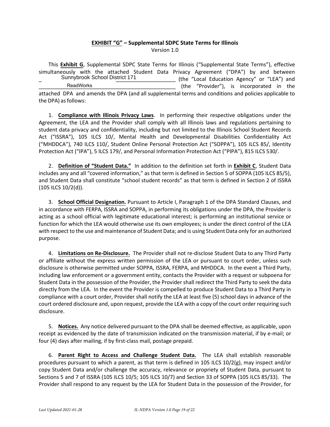### **EXHIBIT "G" – Supplemental SDPC State Terms for Illinois** Version 1.0

This **Exhibit G**, Supplemental SDPC State Terms for Illinois ("Supplemental State Terms"), effective simultaneously with the attached Student Data Privacy Agreement ("DPA") by and between (the "Local Education Agency" or "LEA") and (the "Provider"), is incorporated in the attached DPA and amends the DPA (and all supplemental terms and conditions and policies applicable to the DPA) as follows: Sunnybrook School District 171 ReadWorks

1. **Compliance with Illinois Privacy Laws**. In performing their respective obligations under the Agreement, the LEA and the Provider shall comply with all Illinois laws and regulations pertaining to student data privacy and confidentiality, including but not limited to the Illinois School Student Records Act ("ISSRA"), 105 ILCS 10/, Mental Health and Developmental Disabilities Confidentiality Act ("MHDDCA"), 740 ILCS 110/, Student Online Personal Protection Act ("SOPPA"), 105 ILCS 85/, Identity Protection Act ("IPA"), 5 ILCS 179/, and Personal Information Protection Act ("PIPA"), 815 ILCS 530/.

2. **Definition of "Student Data."** In addition to the definition set forth in **Exhibit C**, Student Data includes any and all "covered information," as that term is defined in Section 5 of SOPPA (105 ILCS 85/5), and Student Data shall constitute "school student records" as that term is defined in Section 2 of ISSRA (105 ILCS 10/2(d)).

3. **School Official Designation.** Pursuant to Article I, Paragraph 1 of the DPA Standard Clauses, and in accordance with FERPA, ISSRA and SOPPA, in performing its obligations under the DPA, the Provider is acting as a school official with legitimate educational interest; is performing an institutional service or function for which the LEA would otherwise use its own employees; is under the direct control of the LEA with respect to the use and maintenance of Student Data; and is using Student Data only for an authorized purpose.

4. **Limitations on Re-Disclosure.** The Provider shall not re-disclose Student Data to any Third Party or affiliate without the express written permission of the LEA or pursuant to court order, unless such disclosure is otherwise permitted under SOPPA, ISSRA, FERPA, and MHDDCA. In the event a Third Party, including law enforcement or a government entity, contacts the Provider with a request or subpoena for Student Data in the possession of the Provider, the Provider shall redirect the Third Party to seek the data directly from the LEA. In the event the Provider is compelled to produce Student Data to a Third Party in compliance with a court order, Provider shall notify the LEA at least five (5) school days in advance of the court ordered disclosure and, upon request, provide the LEA with a copy of the court order requiring such disclosure.

5. **Notices.** Any notice delivered pursuant to the DPA shall be deemed effective, as applicable, upon receipt as evidenced by the date of transmission indicated on the transmission material, if by e-mail; or four (4) days after mailing, if by first-class mail, postage prepaid.

6. **Parent Right to Access and Challenge Student Data.** The LEA shall establish reasonable procedures pursuant to which a parent, as that term is defined in 105 ILCS 10/2(g), may inspect and/or copy Student Data and/or challenge the accuracy, relevance or propriety of Student Data, pursuant to Sections 5 and 7 of ISSRA (105 ILCS 10/5; 105 ILCS 10/7) and Section 33 of SOPPA (105 ILCS 85/33). The Provider shall respond to any request by the LEA for Student Data in the possession of the Provider, for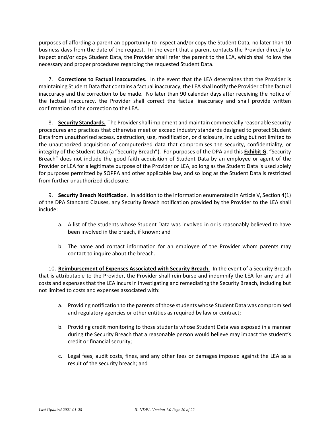purposes of affording a parent an opportunity to inspect and/or copy the Student Data, no later than 10 business days from the date of the request. In the event that a parent contacts the Provider directly to inspect and/or copy Student Data, the Provider shall refer the parent to the LEA, which shall follow the necessary and proper procedures regarding the requested Student Data.

7. Corrections to Factual Inaccuracies. In the event that the LEA determines that the Provider is maintaining Student Data that contains a factual inaccuracy, the LEA shall notify the Provider of the factual inaccuracy and the correction to be made. No later than 90 calendar days after receiving the notice of the factual inaccuracy, the Provider shall correct the factual inaccuracy and shall provide written confirmation of the correction to the LEA.

8. Security Standards. The Provider shall implement and maintain commercially reasonable security procedures and practices that otherwise meet or exceed industry standards designed to protect Student Data from unauthorized access, destruction, use, modification, or disclosure, including but not limited to the unauthorized acquisition of computerized data that compromises the security, confidentiality, or integrity of the Student Data (a "Security Breach"). For purposes of the DPA and this Exhibit G, "Security Breach" does not include the good faith acquisition of Student Data by an employee or agent of the Provider or LEA for a legitimate purpose of the Provider or LEA, so long as the Student Data is used solely for purposes permitted by SOPPA and other applicable law, and so long as the Student Data is restricted from further unauthorized disclosure.

9. Security Breach Notification. In addition to the information enumerated in Article V, Section 4(1) of the DPA Standard Clauses, any Security Breach notification provided by the Provider to the LEA shall include:

- a. A list of the students whose Student Data was involved in or is reasonably believed to have been involved in the breach, if known; and
- b. The name and contact information for an employee of the Provider whom parents may contact to inquire about the breach.

10. Reimbursement of Expenses Associated with Security Breach. In the event of a Security Breach that is attributable to the Provider, the Provider shall reimburse and indemnify the LEA for any and all costs and expenses that the LEA incurs in investigating and remediating the Security Breach, including but not limited to costs and expenses associated with:

- a. Providing notification to the parents of those students whose Student Data was compromised and regulatory agencies or other entities as required by law or contract;
- b. Providing credit monitoring to those students whose Student Data was exposed in a manner during the Security Breach that a reasonable person would believe may impact the student's credit or financial security;
- c. Legal fees, audit costs, fines, and any other fees or damages imposed against the LEA as a result of the security breach; and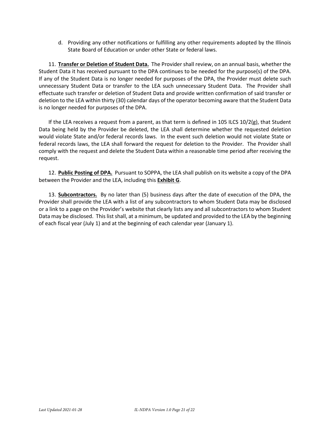d. Providing any other notifications or fulfilling any other requirements adopted by the Illinois State Board of Education or under other State or federal laws.

11. Transfer or Deletion of Student Data. The Provider shall review, on an annual basis, whether the Student Data it has received pursuant to the DPA continues to be needed for the purpose(s) of the DPA. If any of the Student Data is no longer needed for purposes of the DPA, the Provider must delete such unnecessary Student Data or transfer to the LEA such unnecessary Student Data. The Provider shall effectuate such transfer or deletion of Student Data and provide written confirmation of said transfer or deletion to the LEA within thirty (30) calendar days of the operator becoming aware that the Student Data is no longer needed for purposes of the DPA.

If the LEA receives a request from a parent, as that term is defined in 105 ILCS 10/2(g), that Student Data being held by the Provider be deleted, the LEA shall determine whether the requested deletion would violate State and/or federal records laws. In the event such deletion would not violate State or federal records laws, the LEA shall forward the request for deletion to the Provider. The Provider shall comply with the request and delete the Student Data within a reasonable time period after receiving the request.

12. Public Posting of DPA. Pursuant to SOPPA, the LEA shall publish on its website a copy of the DPA between the Provider and the LEA, including this **Exhibit G**.

13. Subcontractors. By no later than (5) business days after the date of execution of the DPA, the Provider shall provide the LEA with a list of any subcontractors to whom Student Data may be disclosed or a link to a page on the Provider's website that clearly lists any and all subcontractors to whom Student Data may be disclosed. This list shall, at a minimum, be updated and provided to the LEA by the beginning of each fiscal year (July 1) and at the beginning of each calendar year (January 1).